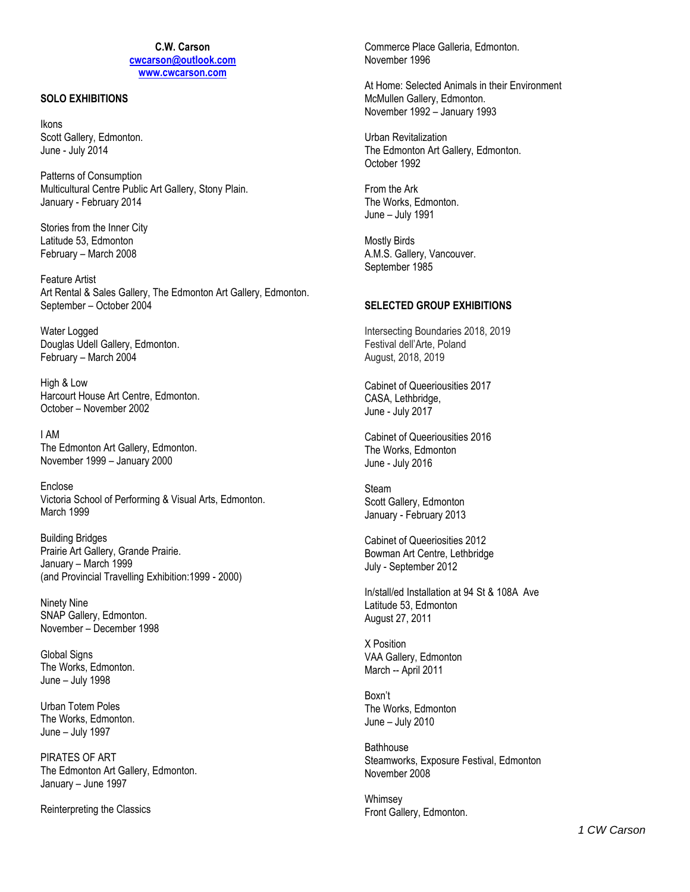## **C.W. Carson cwcarson@outlook.com www.cwcarson.com**

### **SOLO EXHIBITIONS**

Ikons Scott Gallery, Edmonton. June - July 2014

Patterns of Consumption Multicultural Centre Public Art Gallery, Stony Plain. January - February 2014

Stories from the Inner City Latitude 53, Edmonton February – March 2008

Feature Artist Art Rental & Sales Gallery, The Edmonton Art Gallery, Edmonton. September – October 2004

Water Logged Douglas Udell Gallery, Edmonton. February – March 2004

High & Low Harcourt House Art Centre, Edmonton. October – November 2002

I AM The Edmonton Art Gallery, Edmonton. November 1999 – January 2000

Enclose Victoria School of Performing & Visual Arts, Edmonton. March 1999

Building Bridges Prairie Art Gallery, Grande Prairie. January – March 1999 (and Provincial Travelling Exhibition:1999 - 2000)

Ninety Nine SNAP Gallery, Edmonton. November – December 1998

Global Signs The Works, Edmonton. June – July 1998

Urban Totem Poles The Works, Edmonton. June – July 1997

PIRATES OF ART The Edmonton Art Gallery, Edmonton. January – June 1997

Reinterpreting the Classics

Commerce Place Galleria, Edmonton. November 1996

At Home: Selected Animals in their Environment McMullen Gallery, Edmonton. November 1992 – January 1993

Urban Revitalization The Edmonton Art Gallery, Edmonton. October 1992

From the Ark The Works, Edmonton. June – July 1991

Mostly Birds A.M.S. Gallery, Vancouver. September 1985

## **SELECTED GROUP EXHIBITIONS**

Intersecting Boundaries 2018, 2019 Festival dell'Arte, Poland August, 2018, 2019

Cabinet of Queeriousities 2017 CASA, Lethbridge, June - July 2017

Cabinet of Queeriousities 2016 The Works, Edmonton June - July 2016

Steam Scott Gallery, Edmonton January - February 2013

Cabinet of Queeriosities 2012 Bowman Art Centre, Lethbridge July - September 2012

In/stall/ed Installation at 94 St & 108A Ave Latitude 53, Edmonton August 27, 2011

X Position VAA Gallery, Edmonton March -- April 2011

Boxn't The Works, Edmonton June – July 2010

**Bathhouse** Steamworks, Exposure Festival, Edmonton November 2008

Whimsey Front Gallery, Edmonton.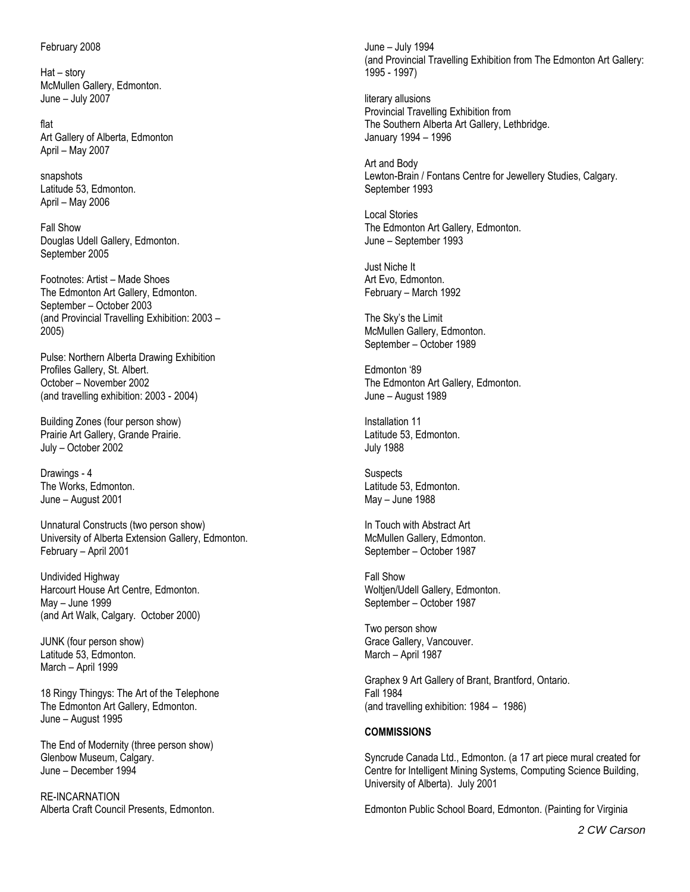### February 2008

Hat – story McMullen Gallery, Edmonton. June – July 2007

flat Art Gallery of Alberta, Edmonton April – May 2007

snapshots Latitude 53, Edmonton. April – May 2006

Fall Show Douglas Udell Gallery, Edmonton. September 2005

Footnotes: Artist – Made Shoes The Edmonton Art Gallery, Edmonton. September – October 2003 (and Provincial Travelling Exhibition: 2003 – 2005)

Pulse: Northern Alberta Drawing Exhibition Profiles Gallery, St. Albert. October – November 2002 (and travelling exhibition: 2003 - 2004)

Building Zones (four person show) Prairie Art Gallery, Grande Prairie. July – October 2002

Drawings - 4 The Works, Edmonton. June – August 2001

Unnatural Constructs (two person show) University of Alberta Extension Gallery, Edmonton. February – April 2001

Undivided Highway Harcourt House Art Centre, Edmonton. May – June 1999 (and Art Walk, Calgary. October 2000)

JUNK (four person show) Latitude 53, Edmonton. March – April 1999

18 Ringy Thingys: The Art of the Telephone The Edmonton Art Gallery, Edmonton. June – August 1995

The End of Modernity (three person show) Glenbow Museum, Calgary. June – December 1994

RE-INCARNATION Alberta Craft Council Presents, Edmonton. June – July 1994 (and Provincial Travelling Exhibition from The Edmonton Art Gallery: 1995 - 1997)

literary allusions Provincial Travelling Exhibition from The Southern Alberta Art Gallery, Lethbridge. January 1994 – 1996

Art and Body Lewton-Brain / Fontans Centre for Jewellery Studies, Calgary. September 1993

Local Stories The Edmonton Art Gallery, Edmonton. June – September 1993

Just Niche It Art Evo, Edmonton. February – March 1992

The Sky's the Limit McMullen Gallery, Edmonton. September – October 1989

Edmonton '89 The Edmonton Art Gallery, Edmonton. June – August 1989

Installation 11 Latitude 53, Edmonton. July 1988

**Suspects** Latitude 53, Edmonton. May – June 1988

In Touch with Abstract Art McMullen Gallery, Edmonton. September – October 1987

Fall Show Woltjen/Udell Gallery, Edmonton. September – October 1987

Two person show Grace Gallery, Vancouver. March – April 1987

Graphex 9 Art Gallery of Brant, Brantford, Ontario. Fall 1984 (and travelling exhibition: 1984 – 1986)

#### **COMMISSIONS**

Syncrude Canada Ltd., Edmonton. (a 17 art piece mural created for Centre for Intelligent Mining Systems, Computing Science Building, University of Alberta). July 2001

Edmonton Public School Board, Edmonton. (Painting for Virginia